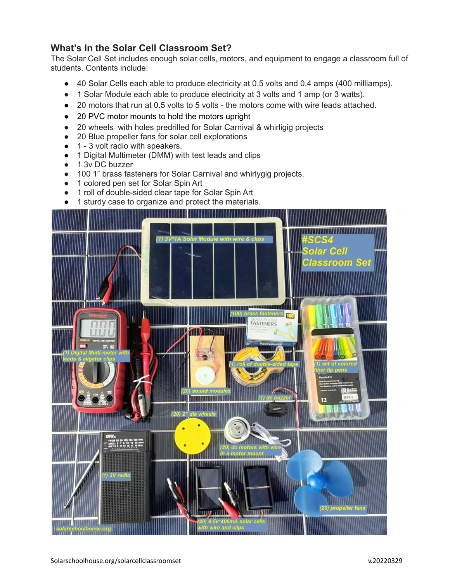## **What's In the Solar Cell Classroom Set?**

The Solar Cell Set includes enough solar cells, motors, and equipment to engage a classroom full of students. Contents include:

- 40 Solar Cells each able to produce electricity at 0.5 volts and 0.4 amps (400 milliamps).
- 1 Solar Module each able to produce electricity at 3 volts and 1 amp (or 3 watts).
- 20 motors that run at 0.5 volts to 5 volts the motors come with wire leads attached.
- 20 PVC motor mounts to hold the motors upright
- 20 wheels with holes predrilled for Solar Carnival & whirligig projects
- 20 Blue propeller fans for solar cell explorations
- 1 3 volt radio with speakers.
- 1 Digital Multimeter (DMM) with test leads and clips
- 1 3v DC buzzer
- 100 1" brass fasteners for Solar Carnival and whirlygig projects.
- 1 colored pen set for Solar Spin Art
- 1 roll of double-sided clear tape for Solar Spin Art
- 1 sturdy case to organize and protect the materials.